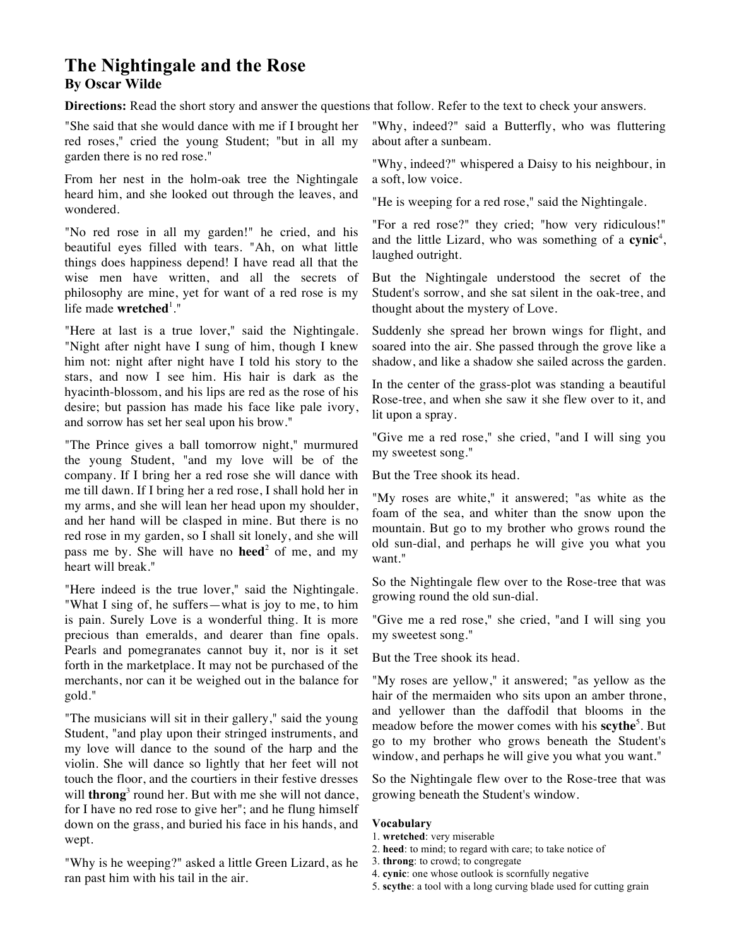## **The Nightingale and the Rose By Oscar Wilde**

**Directions:** Read the short story and answer the questions that follow. Refer to the text to check your answers.

"She said that she would dance with me if I brought her red roses," cried the young Student; "but in all my garden there is no red rose."

From her nest in the holm-oak tree the Nightingale heard him, and she looked out through the leaves, and wondered.

"No red rose in all my garden!" he cried, and his beautiful eyes filled with tears. "Ah, on what little things does happiness depend! I have read all that the wise men have written, and all the secrets of philosophy are mine, yet for want of a red rose is my life made **wretched**<sup>1</sup>."

"Here at last is a true lover," said the Nightingale. "Night after night have I sung of him, though I knew him not: night after night have I told his story to the stars, and now I see him. His hair is dark as the hyacinth-blossom, and his lips are red as the rose of his desire; but passion has made his face like pale ivory, and sorrow has set her seal upon his brow."

"The Prince gives a ball tomorrow night," murmured the young Student, "and my love will be of the company. If I bring her a red rose she will dance with me till dawn. If I bring her a red rose, I shall hold her in my arms, and she will lean her head upon my shoulder, and her hand will be clasped in mine. But there is no red rose in my garden, so I shall sit lonely, and she will pass me by. She will have no **heed**<sup>2</sup> of me, and my heart will break."

"Here indeed is the true lover," said the Nightingale. "What I sing of, he suffers—what is joy to me, to him is pain. Surely Love is a wonderful thing. It is more precious than emeralds, and dearer than fine opals. Pearls and pomegranates cannot buy it, nor is it set forth in the marketplace. It may not be purchased of the merchants, nor can it be weighed out in the balance for gold."

"The musicians will sit in their gallery," said the young Student, "and play upon their stringed instruments, and my love will dance to the sound of the harp and the violin. She will dance so lightly that her feet will not touch the floor, and the courtiers in their festive dresses will **throng**<sup>3</sup> round her. But with me she will not dance, for I have no red rose to give her"; and he flung himself down on the grass, and buried his face in his hands, and wept.

"Why is he weeping?" asked a little Green Lizard, as he ran past him with his tail in the air.

"Why, indeed?" said a Butterfly, who was fluttering about after a sunbeam.

"Why, indeed?" whispered a Daisy to his neighbour, in a soft, low voice.

"He is weeping for a red rose," said the Nightingale.

"For a red rose?" they cried; "how very ridiculous!" and the little Lizard, who was something of a cynic<sup>4</sup>, laughed outright.

But the Nightingale understood the secret of the Student's sorrow, and she sat silent in the oak-tree, and thought about the mystery of Love.

Suddenly she spread her brown wings for flight, and soared into the air. She passed through the grove like a shadow, and like a shadow she sailed across the garden.

In the center of the grass-plot was standing a beautiful Rose-tree, and when she saw it she flew over to it, and lit upon a spray.

"Give me a red rose," she cried, "and I will sing you my sweetest song."

But the Tree shook its head.

"My roses are white," it answered; "as white as the foam of the sea, and whiter than the snow upon the mountain. But go to my brother who grows round the old sun-dial, and perhaps he will give you what you want."

So the Nightingale flew over to the Rose-tree that was growing round the old sun-dial.

"Give me a red rose," she cried, "and I will sing you my sweetest song."

But the Tree shook its head.

"My roses are yellow," it answered; "as yellow as the hair of the mermaiden who sits upon an amber throne, and yellower than the daffodil that blooms in the meadow before the mower comes with his **scythe**<sup>5</sup> . But go to my brother who grows beneath the Student's window, and perhaps he will give you what you want."

So the Nightingale flew over to the Rose-tree that was growing beneath the Student's window.

## **Vocabulary**

- 1. **wretched**: very miserable
- 2. **heed**: to mind; to regard with care; to take notice of
- 3. **throng**: to crowd; to congregate
- 4. **cynic**: one whose outlook is scornfully negative
- 5. **scythe**: a tool with a long curving blade used for cutting grain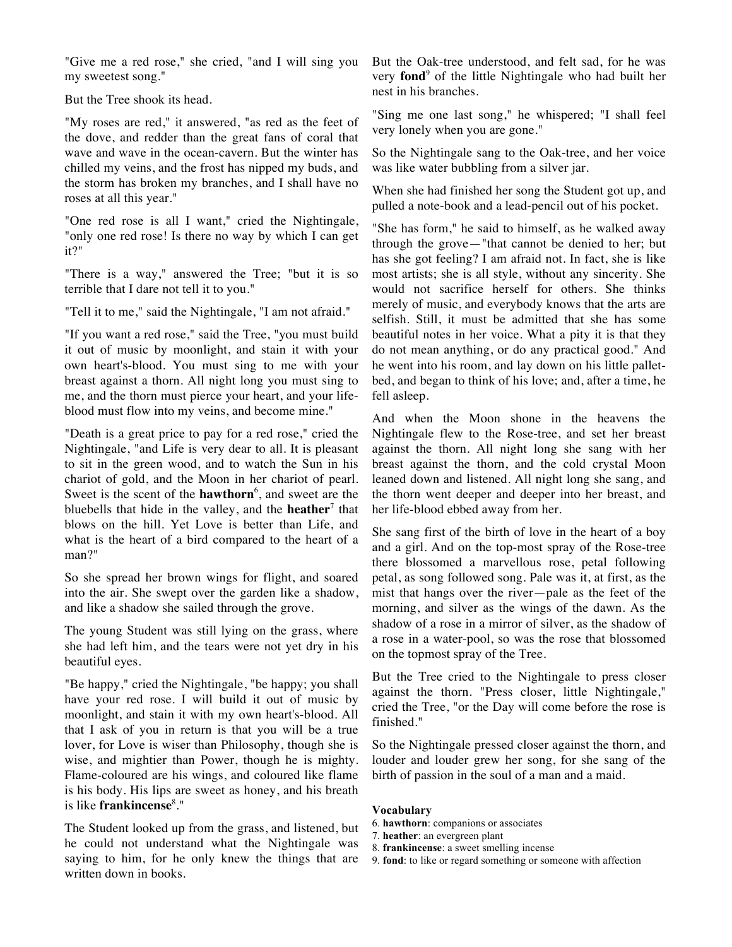"Give me a red rose," she cried, "and I will sing you my sweetest song."

But the Tree shook its head.

"My roses are red," it answered, "as red as the feet of the dove, and redder than the great fans of coral that wave and wave in the ocean-cavern. But the winter has chilled my veins, and the frost has nipped my buds, and the storm has broken my branches, and I shall have no roses at all this year."

"One red rose is all I want," cried the Nightingale, "only one red rose! Is there no way by which I can get it?"

"There is a way," answered the Tree; "but it is so terrible that I dare not tell it to you."

"Tell it to me," said the Nightingale, "I am not afraid."

"If you want a red rose," said the Tree, "you must build it out of music by moonlight, and stain it with your own heart's-blood. You must sing to me with your breast against a thorn. All night long you must sing to me, and the thorn must pierce your heart, and your lifeblood must flow into my veins, and become mine."

"Death is a great price to pay for a red rose," cried the Nightingale, "and Life is very dear to all. It is pleasant to sit in the green wood, and to watch the Sun in his chariot of gold, and the Moon in her chariot of pearl. Sweet is the scent of the **hawthorn**<sup>6</sup> , and sweet are the bluebells that hide in the valley, and the **heather**<sup>7</sup> that blows on the hill. Yet Love is better than Life, and what is the heart of a bird compared to the heart of a man?"

So she spread her brown wings for flight, and soared into the air. She swept over the garden like a shadow, and like a shadow she sailed through the grove.

The young Student was still lying on the grass, where she had left him, and the tears were not yet dry in his beautiful eyes.

"Be happy," cried the Nightingale, "be happy; you shall have your red rose. I will build it out of music by moonlight, and stain it with my own heart's-blood. All that I ask of you in return is that you will be a true lover, for Love is wiser than Philosophy, though she is wise, and mightier than Power, though he is mighty. Flame-coloured are his wings, and coloured like flame is his body. His lips are sweet as honey, and his breath is like **frankincense**<sup>8</sup> ."

The Student looked up from the grass, and listened, but he could not understand what the Nightingale was saying to him, for he only knew the things that are written down in books.

But the Oak-tree understood, and felt sad, for he was very **fond**<sup>9</sup> of the little Nightingale who had built her nest in his branches.

"Sing me one last song," he whispered; "I shall feel very lonely when you are gone."

So the Nightingale sang to the Oak-tree, and her voice was like water bubbling from a silver jar.

When she had finished her song the Student got up, and pulled a note-book and a lead-pencil out of his pocket.

"She has form," he said to himself, as he walked away through the grove—"that cannot be denied to her; but has she got feeling? I am afraid not. In fact, she is like most artists; she is all style, without any sincerity. She would not sacrifice herself for others. She thinks merely of music, and everybody knows that the arts are selfish. Still, it must be admitted that she has some beautiful notes in her voice. What a pity it is that they do not mean anything, or do any practical good." And he went into his room, and lay down on his little palletbed, and began to think of his love; and, after a time, he fell asleep.

And when the Moon shone in the heavens the Nightingale flew to the Rose-tree, and set her breast against the thorn. All night long she sang with her breast against the thorn, and the cold crystal Moon leaned down and listened. All night long she sang, and the thorn went deeper and deeper into her breast, and her life-blood ebbed away from her.

She sang first of the birth of love in the heart of a boy and a girl. And on the top-most spray of the Rose-tree there blossomed a marvellous rose, petal following petal, as song followed song. Pale was it, at first, as the mist that hangs over the river—pale as the feet of the morning, and silver as the wings of the dawn. As the shadow of a rose in a mirror of silver, as the shadow of a rose in a water-pool, so was the rose that blossomed on the topmost spray of the Tree.

But the Tree cried to the Nightingale to press closer against the thorn. "Press closer, little Nightingale," cried the Tree, "or the Day will come before the rose is finished."

So the Nightingale pressed closer against the thorn, and louder and louder grew her song, for she sang of the birth of passion in the soul of a man and a maid.

## **Vocabulary**

- 6. **hawthorn**: companions or associates
- 7. **heather**: an evergreen plant
- 8. **frankincense**: a sweet smelling incense
- 9. **fond**: to like or regard something or someone with affection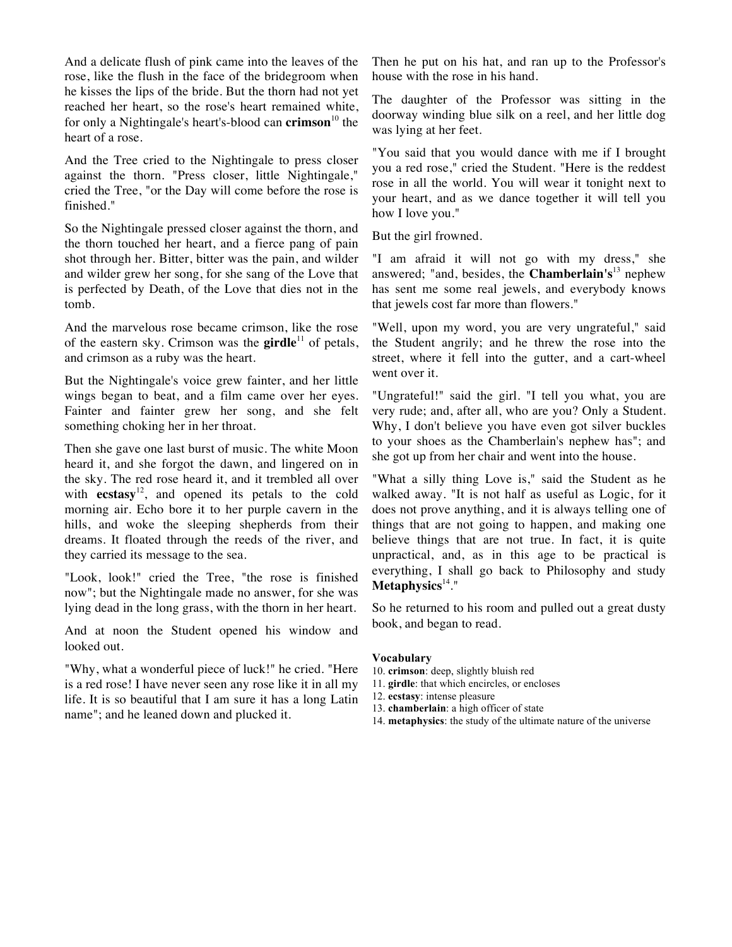And a delicate flush of pink came into the leaves of the rose, like the flush in the face of the bridegroom when he kisses the lips of the bride. But the thorn had not yet reached her heart, so the rose's heart remained white, for only a Nightingale's heart's-blood can **crimson**<sup>10</sup> the heart of a rose.

And the Tree cried to the Nightingale to press closer against the thorn. "Press closer, little Nightingale," cried the Tree, "or the Day will come before the rose is finished."

So the Nightingale pressed closer against the thorn, and the thorn touched her heart, and a fierce pang of pain shot through her. Bitter, bitter was the pain, and wilder and wilder grew her song, for she sang of the Love that is perfected by Death, of the Love that dies not in the tomb.

And the marvelous rose became crimson, like the rose of the eastern sky. Crimson was the **girdle**<sup>11</sup> of petals, and crimson as a ruby was the heart.

But the Nightingale's voice grew fainter, and her little wings began to beat, and a film came over her eyes. Fainter and fainter grew her song, and she felt something choking her in her throat.

Then she gave one last burst of music. The white Moon heard it, and she forgot the dawn, and lingered on in the sky. The red rose heard it, and it trembled all over with **ecstasy**<sup>12</sup> , and opened its petals to the cold morning air. Echo bore it to her purple cavern in the hills, and woke the sleeping shepherds from their dreams. It floated through the reeds of the river, and they carried its message to the sea.

"Look, look!" cried the Tree, "the rose is finished now"; but the Nightingale made no answer, for she was lying dead in the long grass, with the thorn in her heart.

And at noon the Student opened his window and looked out.

"Why, what a wonderful piece of luck!" he cried. "Here is a red rose! I have never seen any rose like it in all my life. It is so beautiful that I am sure it has a long Latin name"; and he leaned down and plucked it.

Then he put on his hat, and ran up to the Professor's house with the rose in his hand.

The daughter of the Professor was sitting in the doorway winding blue silk on a reel, and her little dog was lying at her feet.

"You said that you would dance with me if I brought you a red rose," cried the Student. "Here is the reddest rose in all the world. You will wear it tonight next to your heart, and as we dance together it will tell you how I love you."

But the girl frowned.

"I am afraid it will not go with my dress," she answered; "and, besides, the **Chamberlain's**<sup>13</sup> nephew has sent me some real jewels, and everybody knows that jewels cost far more than flowers."

"Well, upon my word, you are very ungrateful," said the Student angrily; and he threw the rose into the street, where it fell into the gutter, and a cart-wheel went over it.

"Ungrateful!" said the girl. "I tell you what, you are very rude; and, after all, who are you? Only a Student. Why, I don't believe you have even got silver buckles to your shoes as the Chamberlain's nephew has"; and she got up from her chair and went into the house.

"What a silly thing Love is," said the Student as he walked away. "It is not half as useful as Logic, for it does not prove anything, and it is always telling one of things that are not going to happen, and making one believe things that are not true. In fact, it is quite unpractical, and, as in this age to be practical is everything, I shall go back to Philosophy and study **Metaphysics**<sup>14</sup> ."

So he returned to his room and pulled out a great dusty book, and began to read.

## **Vocabulary**

- 10. **crimson**: deep, slightly bluish red
- 11. **girdle**: that which encircles, or encloses
- 12. **ecstasy**: intense pleasure
- 13. **chamberlain**: a high officer of state
- 14. **metaphysics**: the study of the ultimate nature of the universe